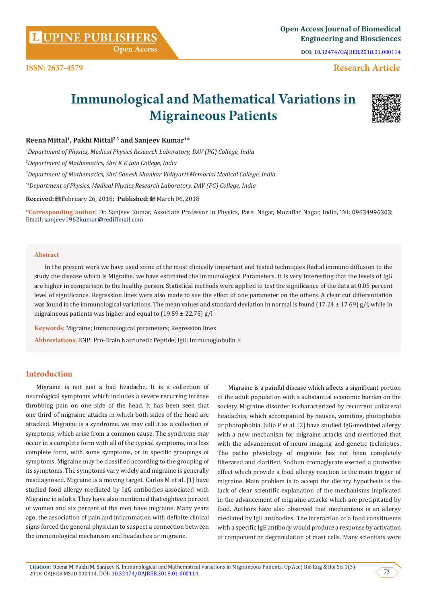**Citation:** Reena M, Pakhi M, Sanjeev K. Immunological and Mathematical Variations in Migraineous Patients. Op Acc J Bio Eng & Boi Sci 1(3)- 2018. OAJBEB.MS.ID.000114. DOI: [10.32474/OAJBEB.2018.01.000114.](http://dx.doi.org/10.32474/OAJBEB.2018.01.000114) 73

**UPINE PUBLISHERS <sup>L</sup> Open Access Journal of Biomedical Engineering and Biosciences**

**DOI:** [10.32474/OAJBEB.2018.01.000114](http://dx.doi.org/10.32474/OAJBEB.2018.01.000114)

# **Research Article**

# **Immunological and Mathematical Variations in Migraineous Patients**

# **Reena Mittal1, Pakhi Mittal2,3 and Sanjeev Kumar4\***

*1 Department of Physics, Medical Physics Research Laboratory, DAV (PG) College, India*

 **Open Access**

*2 Department of Mathematics, Shri K K Jain College, India*

*3 Department of Mathematics, Shri Ganesh Shankar Vidhyarti Memorial Medical College, India*

*\*4Department of Physics, Medical Physics Research Laboratory, DAV (PG) College, India*

**Received:** February 26, 2018; **Published:** March 06, 2018

**\*Corresponding author:** Dr. Sanjeev Kumar, Associate Professor in Physics, Patel Nagar, Muzaffar Nagar, India, Tel: ; Email: sanjeev1962kumar@rediffmail.com

#### **Abstract**

In the present work we have used some of the most clinically important and tested techniques Radial immuno diffusion to the study the disease which is Migraine. we have estimated the immunological Parameters. It is very interesting that the levels of IgG are higher in comparison to the healthy person. Statistical methods were applied to test the significance of the data at 0.05 percent level of significance. Regression lines were also made to see the effect of one parameter on the others. A clear cut differentiation was found in the immunological variations. The mean values and standard deviation in normal is found  $(17.24 \pm 17.69)$  g/l, while in migraineous patients was higher and equal to  $(19.59 \pm 22.75)$  g/l

**Keywords:** Migraine; Immunological parameters; Regression lines

**Abbreviations:** BNP: Pro-Brain Natriuretic Peptide; IgE: Immunoglobulin E

# **Introduction**

Migraine is not just a bad headache. It is a collection of neurological symptoms which includes a severe recurring intense throbbing pain on one side of the head. It has been seen that one third of migraine attacks in which both sides of the head are attacked. Migraine is a syndrome. we may call it as a collection of symptoms, which arise from a common cause. The syndrome may occur in a complete form with all of the typical symptoms, in a less complete form, with some symptoms, or in specific groupings of symptoms. Migraine may be classified according to the grouping of its symptoms. The symptoms vary widely and migraine is generally misdiagnosed. Migraine is a moving target. Carlos M et al. [1] have studied food allergy mediated by IgG antibodies associated with Migraine in adults. They have also mentioned that eighteen percent of women and six percent of the men have migraine. Many years ago, the association of pain and inflammation with definite clinical signs forced the general physician to suspect a connection between the immunological mechanism and headaches or migraine.

Migraine is a painful disease which affects a significant portion of the adult population with a substantial economic burden on the society. Migraine disorder is characterized by recurrent unilateral headaches, which accompanied by nausea, vomiting, photophobia or photophobia. Julio P et al. [2] have studied IgG-mediated allergy with a new mechanism for migraine attacks and mentioned that with the advancement of neuro imaging and genetic techniques. The patho physiology of migraine has not been completely filterated and clarified. Sodium cromaglycate exerted a protective effect which provide a food allergy reaction is the main trigger of migraine. Main problem is to accept the dietary hypothesis is the lack of clear scientific explanation of the mechanisms implicated in the advancement of migraine attacks which are precipitated by food. Authors have also observed that mechanisms is an allergy mediated by IgE antibodies. The interaction of a food constituents with a specific IgE antibody would produce a response by activation of component or degranulation of mast cells. Many scientists were



**ISSN: 2637-4579**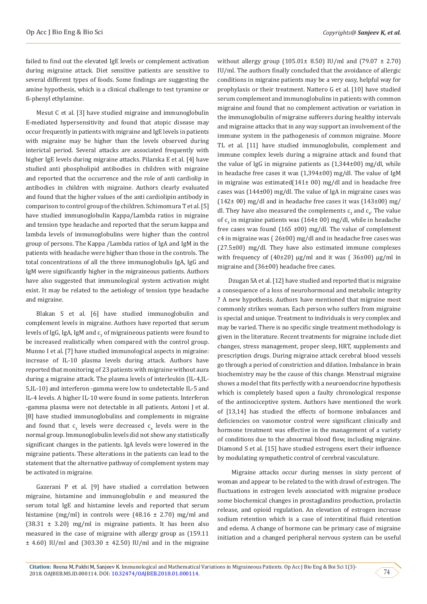failed to find out the elevated IgE levels or complement activation during migraine attack. Diet sensitive patients are sensitive to several different types of foods. Some findings are suggesting the amine hypothesis, which is a clinical challenge to test tyramine or ß-phenyl ethylamine.

Mesut C et al. [3] have studied migraine and immunoglobulin E-mediated hypersensitivity and found that atopic disease may occur frequently in patients with migraine and IgE levels in patients with migraine may be higher than the levels observed during interictal period. Several attacks are associated frequently with higher IgE levels during migraine attacks. Pilarska E et al. [4] have studied anti phospholipid antibodies in children with migraine and reported that the occurrence and the role of anti cardiolip in antibodies in children with migraine. Authors clearly evaluated and found that the higher values of the anti cardiolipin antibody in comparison to control group of the children. Schimomura T et al. [5] have studied immunoglobulin Kappa/Lambda ratios in migraine and tension type headache and reported that the serum kappa and lambda levels of immunoglobulins were higher than the control group of persons. The Kappa /Lambda ratios of IgA and IgM in the patients with headache were higher than those in the controls. The total concentrations of all the three immunoglobulis IgA, IgG and IgM were significantly higher in the migraineous patients. Authors have also suggested that immunological system activation might exist. It may be related to the aetiology of tension type headache and migraine.

Blakan S et al. [6] have studied immunoglobulin and complement levels in migraine. Authors have reported that serum levels of IgG, IgA, IgM and  $c_{3}$  of migraineous patients were found to be increased realistically when compared with the control group. Munno I et al. [7] have studied immunological aspects in migraine: increase of IL-10 plasma levels during attack. Authors have reported that monitoring of 23 patients with migraine without aura during a migraine attack. The plasma levels of interleukin (IL-4,IL-5,IL-10) and interferon -gamma were low to undetectable IL-5 and IL-4 levels. A higher IL-10 were found in some patients. Interferon -gamma plasma were not detectable in all patients. Antoni J et al. [8] have studied immunoglobulins and complements in migraine and found that  $\mathsf{c}_3$  levels were decreased  $\mathsf{c}_4$  levels were in the normal group. Immunoglobulin levels did not show any statistically significant changes in the patients. IgA levels were lowered in the migraine patients. These alterations in the patients can lead to the statement that the alternative pathway of complement system may be activated in migraine.

Gazerani P et al. [9] have studied a correlation between migraine, histamine and immunoglobulin e and measured the serum total IgE and histamine levels and reported that serum histamine (mg/ml) in controls were  $(48.16 \pm 2.70)$  mg/ml and  $(38.31 \pm 3.20)$  mg/ml in migraine patients. It has been also measured in the case of migraine with allergy group as (159.11  $\pm$  4.60) IU/ml and (303.30  $\pm$  42.50) IU/ml and in the migraine without allergy group (105.01± 8.50) IU/ml and (79.07 ± 2.70) IU/ml. The authors finally concluded that the avoidance of allergic conditions in migraine patients may be a very easy, helpful way for prophylaxis or their treatment. Nattero G et al. [10] have studied serum complement and immunoglobulins in patients with common migraine and found that no complement activation or variation in the immunoglobulin of migraine sufferers during healthy intervals and migraine attacks that in any way support an involvement of the immune system in the pathogenesis of common migraine. Moore TL et al. [11] have studied immunoglobulin, complement and immune complex levels during a migraine attack and found that the value of IgG in migraine patients as (1,344±00) mg/dl, while in headache free cases it was (1,394±00) mg/dl. The value of IgM in migraine was estimated( $141±00$ ) mg/dl and in headache free cases was (144±00) mg/dl. The value of IgA in migraine cases was  $(142±00)$  mg/dl and in headache free cases it was  $(143±00)$  mg/ dl. They have also measured the complements  $c_3$  and  $c_4$ . The value of  $c_3$  in migraine patients was (164 $\pm$  00) mg/dl, while in headache free cases was found (165  $\pm$ 00) mg/dl. The value of complement c4 in migraine was ( 26±00) mg/dl and in headache free cases was (27.5±00) mg/dl. They have also estimated immune complexes with frequency of  $(40\pm20)$  µg/ml and it was  $(36\pm00)$  µg/ml in migraine and (36±00) headache free cases.

Dzugan SA et al. [12] have studied and reported that is migraine a consequence of a loss of neurohormonal and metabolic integrity ? A new hypothesis. Authors have mentioned that migraine most commonly strikes woman. Each person who suffers from migraine is special and unique. Treatment to individuals is very complex and may be varied. There is no specific single treatment methodology is given in the literature. Recent treatments for migraine include diet changes, stress management, proper sleep, HRT, supplements and prescription drugs. During migraine attack cerebral blood vessels go through a period of constriction and dilation. Imbalance in brain biochemistry may be the cause of this change. Menstrual migraine shows a model that fits perfectly with a neuroendocrine hypothesis which is completely based upon a faulty chronological response of the antinociceptive system. Authors have mentioned the work of [13,14] has studied the effects of hormone imbalances and deficiencies on vasomotor control were significant clinically and hormone treatment was effective in the management of a variety of conditions due to the abnormal blood flow, including migraine. Diamond S et al. [15] have studied estrogens exert their influence by modulating sympathetic control of cerebral vasculature.

 Migraine attacks occur during menses in sixty percent of woman and appear to be related to the with drawl of estrogen. The fluctuations in estrogen levels associated with migraine produce some biochemical changes in prostaglandins production, prolactin release, and opioid regulation. An elevation of estrogen increase sodium retention which is a case of interstitinal fluid retention and edema. A change of hormone can be primary case of migraine initiation and a changed peripheral nervous system can be useful

74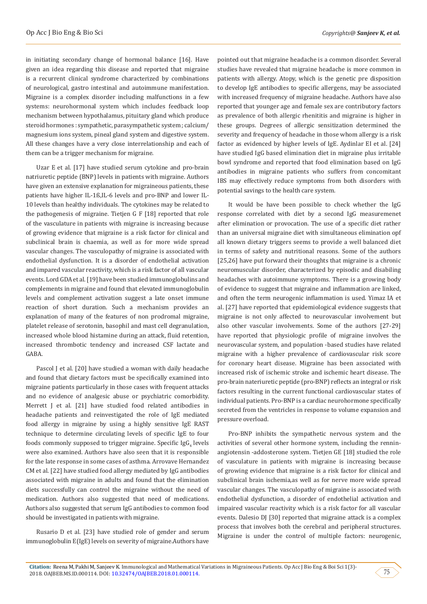in initiating secondary change of hormonal balance [16]. Have given an idea regarding this disease and reported that migraine is a recurrent clinical syndrome characterized by combinations of neurological, gastro intestinal and autoimmune manifestation. Migraine is a complex disorder including malfunctions in a few systems: neurohormonal system which includes feedback loop mechanism between hypothalamus, pituitary gland which produce steroid hormones : sympathetic, parasympathetic system ; calcium/ magnesium ions system, pineal gland system and digestive system. All these changes have a very close interrelationship and each of them can be a trigger mechanism for migraine.

Uzar E et al. [17] have studied serum cytokine and pro-brain natriuretic peptide (BNP) levels in patients with migraine. Authors have given an extensive explanation for migraineous patients, these patients have higher IL-1ß,IL-6 levels and pro-BNP and lower IL-10 levels than healthy individuals. The cytokines may be related to the pathogenesis of migraine. Tietjen G F [18] reported that role of the vasculature in patients with migraine is increasing because of growing evidence that migraine is a risk factor for clinical and subclinical brain is chaemia, as well as for more wide spread vascular changes. The vasculopathy of migraine is associated with endothelial dysfunction. It is a disorder of endothelial activation and impared vascular reactivity, which is a risk factor of all vascular events. Lord GDA et al. [19] have been studied immunoglobulins and complements in migraine and found that elevated immunoglobulin levels and complement activation suggest a late onset immune reaction of short duration. Such a mechanism provides an explanation of many of the features of non prodromal migraine, platelet release of serotonin, basophil and mast cell degranulation, increased whole blood histamine during an attack, fluid retention, increased thrombotic tendency and increased CSF lactate and GABA.

Pascol J et al. [20] have studied a woman with daily headache and found that dietary factors must be specifically examined into migraine patients particularly in those cases with frequent attacks and no evidence of analgesic abuse or psychiatric comorbidity. Merrett J et al. [21] have studied food related antibodies in headache patients and reinvestigated the role of IgE mediated food allergy in migraine by using a highly sensitive IgE RAST technique to determine circulating levels of specific IgE to four foods commonly supposed to trigger migraine. Specific IgG<sub>4</sub> levels were also examined. Authors have also seen that it is responsible for the late response in some cases of asthma. Arrovave Hernandez CM et al. [22] have studied food allergy mediated by IgG antibodies associated with migraine in adults and found that the elimination diets successfully can control the migraine without the need of medication. Authors also suggested that need of medications. Authors also suggested that serum IgG antibodies to common food should be investigated in patients with migraine.

Rusario D et al. [23] have studied role of gender and serum immunoglobulin E(IgE) levels on severity of migraine.Authors have

pointed out that migraine headache is a common disorder. Several studies have revealed that migraine headache is more common in patients with allergy. Atopy, which is the genetic pre disposition to develop IgE antibodies to specific allergens, may be associated with increased frequency of migraine headache. Authors have also reported that younger age and female sex are contributory factors as prevalence of both allergic rhenititis and migraine is higher in these groups. Degrees of allergic sensitization determined the severity and frequency of headache in those whom allergy is a risk factor as evidenced by higher levels of IgE. Aydinlar EI et al. [24] have studied IgG based elimination diet in migraine plus irritable bowl syndrome and reported that food elimination based on IgG antibodies in migraine patients who suffers from concomitant IBS may effectively reduce symptoms from both disorders with potential savings to the health care system.

It would be have been possible to check whether the IgG response correlated with diet by a second IgG measuremenet after elimination or provocation. The use of a specific diet rather than an universal migraine diet with simultaneous elimination opf all known dietary triggers seems to provide a well balanced diet in terms of safety and nutritional reasons. Some of the authors [25,26] have put forward their thoughts that migraine is a chronic neuromuscular disorder, characterized by episodic and disabiling headaches with autoimmune symptoms. There is a growing body of evidence to suggest that migraine and inflammation are linked, and often the term neurogenic inflammation is used. Yimaz IA et al. [27] have reported that epidemiological evidence suggests that migraine is not only affected to neurovascular involvement but also other vascular involvements. Some of the authors [27-29] have reported that physiologic profile of migraine involves the neurovascular system, and population -based studies have related migraine with a higher prevalence of cardiovascular risk score for coronary heart disease. Migraine has been associated with increased risk of ischemic stroke and ischemic heart disease. The pro-brain nateriuretic peptide (pro-BNP) reflects an integral or risk factors resulting in the current functional cardiovascular states of individual patients. Pro-BNP is a cardiac neurohormone specifically secreted from the ventricles in response to volume expansion and pressure overload.

Pro-BNP inhibits the sympathetic nervous system and the activities of several other hormone system, including the renninangiotensin -addosterone system. Tietjen GE [18] studied the role of vasculature in patients with migraine is increasing because of growing evidence that migraine is a risk factor for clinical and subclinical brain ischemia,as well as for nerve more wide spread vascular changes. The vasculopathy of migraine is associated with endothelial dysfunction, a disorder of endothelial activation and impaired vascular reactivity which is a risk factor for all vascular events. Dalesio DJ [30] reported that migraine attack is a complex process that involves both the cerebral and peripheral structures. Migraine is under the control of multiple factors: neurogenic,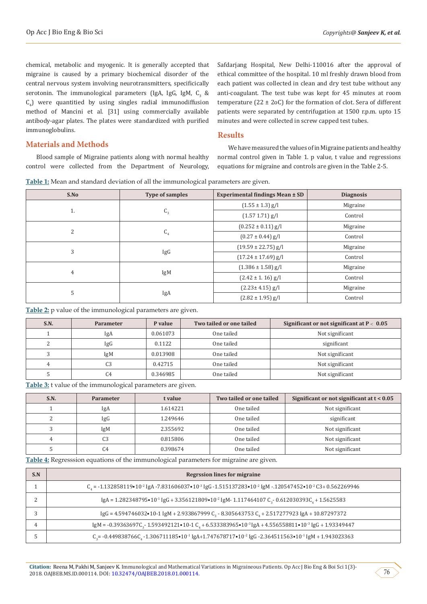chemical, metabolic and myogenic. It is generally accepted that migraine is caused by a primary biochemical disorder of the central nervous system involving neurotransmitters, specificically serotonin. The immunological parameters (IgA, IgG, IgM,  $\mathsf{C}_3^{\mathsf{}}$  &  $C_4$ ) were quantitied by using singles radial immunodiffusion method of Mancini et al. [31] using commercially available antibody-agar plates. The plates were standardized with purified immunoglobulins.

Safdarjang Hospital, New Delhi-110016 after the approval of ethical committee of the hospital. 10 ml freshly drawn blood from each patient was collected in clean and dry test tube without any anti-coagulant. The test tube was kept for 45 minutes at room temperature (22  $\pm$  2oC) for the formation of clot. Sera of different patients were separated by centrifugation at 1500 r.p.m. upto 15 minutes and were collected in screw capped test tubes.

#### **Results**

**Materials and Methods**

Blood sample of Migraine patients along with normal healthy control were collected from the Department of Neurology,

We have measured the values of in Migraine patients and healthy normal control given in Table 1. p value, t value and regressions equations for migraine and controls are given in the Table 2-5.

**Table 1:** Mean and standard deviation of all the immunological parameters are given.

| S.No           | Type of samples | Experimental findings Mean ± SD | <b>Diagnosis</b> |
|----------------|-----------------|---------------------------------|------------------|
| 1.             | $C_{3}$         | $(1.55 \pm 1.3)$ g/l            | Migraine         |
|                |                 | $(1.57 1.71)$ g/l               | Control          |
| $\overline{2}$ | C <sub>4</sub>  | $(0.252 \pm 0.11)$ g/l          | Migraine         |
|                |                 | $(0.27 \pm 0.44)$ g/l           | Control          |
| 3              | IgG             | $(19.59 \pm 22.75)$ g/l         | Migraine         |
|                |                 | $(17.24 \pm 17.69)$ g/l         | Control          |
| 4              | IgM             | $(1.386 \pm 1.58)$ g/l          | Migraine         |
|                |                 | $(2.42 \pm 1.16)$ g/l           | Control          |
| 5              | IgA             | $(2.23 \pm 4.15)$ g/l           | Migraine         |
|                |                 | $(2.82 \pm 1.95)$ g/l           | Control          |

**Table 2:** p value of the immunological parameters are given.

| S.N. | <b>Parameter</b> | P value  | Two tailed or one tailed | Significant or not significant at $P < 0.05$ |
|------|------------------|----------|--------------------------|----------------------------------------------|
|      | IgA              | 0.061073 | One tailed               | Not significant                              |
| ∼    | IgG              | 0.1122   | One tailed               | significant                                  |
|      | IgM              | 0.013908 | One tailed               | Not significant                              |
| 4    | C <sub>3</sub>   | 0.42715  | One tailed               | Not significant                              |
|      | C4               | 0.346985 | One tailed               | Not significant                              |

**Table 3:** t value of the immunological parameters are given.

| S.N. | <b>Parameter</b> | t value  | Two tailed or one tailed | Significant or not significant at $t < 0.05$ |
|------|------------------|----------|--------------------------|----------------------------------------------|
|      | IgA              | 1.614221 | One tailed               | Not significant                              |
|      | IgG              | 1.249646 | One tailed               | significant                                  |
|      | IgM              | 2.355692 | One tailed               | Not significant                              |
|      | C <sub>3</sub>   | 0.815806 | One tailed               | Not significant                              |
|      | C4               | 0.398674 | One tailed               | Not significant                              |

**Table 4:** Regresssion equations of the immunological parameters for migraine are given.

| S.N | <b>Regrssion lines for migraine</b>                                                                                                                                         |
|-----|-----------------------------------------------------------------------------------------------------------------------------------------------------------------------------|
|     | $C_4$ = -1.132858119•10 <sup>-2</sup> IgA -7.831606037•10 <sup>-3</sup> IgG -1.515137283•10 <sup>-2</sup> IgM -120547452•10 <sup>-2</sup> C3+ 0.562269946                   |
|     | IgA = $1.282348795 \cdot 10^{-1}$ IgG + $3.356121809 \cdot 10^{-2}$ IgM - $1.117464107$ C <sub>3</sub> - 0.612030393C <sub>4</sub> + 1.5625583                              |
|     | $\lg G$ = 4.594746032•10-1 $\lg M$ + 2.933867999 C <sub>2</sub> - 8.305643753 C <sub>4</sub> + 2.517277923 IgA + 10.87297372                                                |
|     | IgM = -0.39363697C <sub>3</sub> -1.593492121•10-1 C <sub>4</sub> + 6.533383965•10 <sup>-3</sup> IgA + 4.556558811•10 <sup>-3</sup> IgG + 1.93349447                         |
|     | $C_5$ = -0.449838766 $C_4$ -1.306711185 $\bullet$ 10 <sup>-1</sup> IgA+1.747678717 $\bullet$ 10 <sup>-2</sup> IgG -2.364511563 $\bullet$ 10 <sup>-1</sup> IgM + 1.943023363 |

76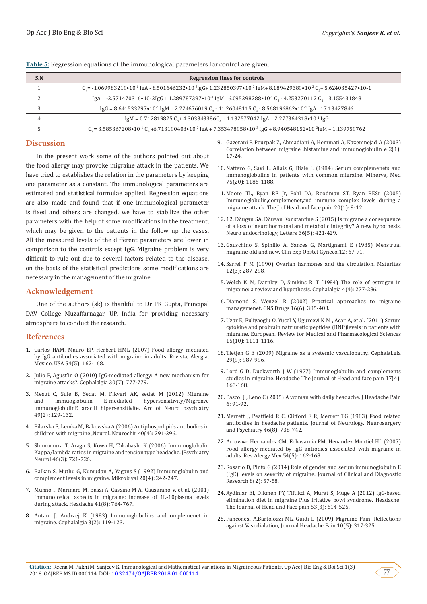| S.N | <b>Regression lines for controls</b>                                                                                                                                          |
|-----|-------------------------------------------------------------------------------------------------------------------------------------------------------------------------------|
|     | $C_s$ = -1.069983219•10 <sup>-1</sup> IgA - 8.501646232•10 <sup>-3</sup> IgG+ 1.232850397•10 <sup>-2</sup> IgM+ 8.189429389•10 <sup>-2</sup> C <sub>3</sub> +5.624035427•10-1 |
|     | IgA = -2.571470316 • 10-2IgG + 1.289787397 • 10 <sup>-1</sup> IgM + 6.095298288 • 10 <sup>-1</sup> C <sub>2</sub> - 4.253270112 C <sub>4</sub> + 3.155431848                  |
|     | IgG = $8.641533297 \cdot 10^{-1}$ IgM + 2.224676019 C <sub>3</sub> - 11.26048115 C <sub>4</sub> - $8.568196862 \cdot 10^{-1}$ IgA+ 17.13427846                                |
| 4   | IgM = $0.712819825 C_1 + 4.303343386C_1 + 1.132577042 IgA + 2.277364318 \cdot 10^{11} IgG$                                                                                    |
|     | $C_3 = 3.585367208 \cdot 10^{-1} C_4 + 6.713190408 \cdot 10^{-2}$ IgA + 7.353478958 $\cdot 10^{-3}$ IgG + 8.940548152 $\cdot 10^{-3}$ IgM + 1.139759762                       |

**Table 5:** Regression equations of the immunological parameters for control are given.

#### **Discussion**

In the present work some of the authors pointed out about the food allergy may provoke migraine attack in the patients. We have tried to establishes the relation in the parameters by keeping one parameter as a constant. The immunological parameters are estimated and statistical formulae applied. Regression equations are also made and found that if one immunological parameter is fixed and others are changed. we have to stabilize the other parameters with the help of some modifications in the treatment, which may be given to the patients in the follow up the cases. All the measured levels of the different parameters are lower in comparison to the controls except IgG. Migraine problem is very difficult to rule out due to several factors related to the disease. on the basis of the statistical predictions some modifications are necessary in the management of the migraine.

### **Acknowledgement**

One of the authors (sk) is thankful to Dr PK Gupta, Principal DAV College Muzaffarnagar, UP, India for providing necessary atmosphere to conduct the research.

#### **References**

- 1. [Carlos HAM, Mauro EP, Herbert HML \(2007\) Food allergy mediated](https://www.ncbi.nlm.nih.gov/pubmed/18693538)  [by IgG antibodies associated with migraine in adults. Revista, Alergia,](https://www.ncbi.nlm.nih.gov/pubmed/18693538)  [Mexico, USA 54\(5\): 162-168.](https://www.ncbi.nlm.nih.gov/pubmed/18693538)
- 2. [Julio P, Agust'in O \(2010\) IgG-mediated allergy: A new mechanism for](https://www.ncbi.nlm.nih.gov/pubmed/20647169)  [migraine attacks?. Cephalalgia 30\(7\): 777-779.](https://www.ncbi.nlm.nih.gov/pubmed/20647169)
- 3. [Mesut C, Sule B, Sedat M, Fikveri AK, sedat M \(2012\) Migraine](https://www.researchgate.net/publication/268630524_Migraine_and_Immunoglobulin_E-mediated_Hypersensitivity)  hypersensitivity/Migrenve [immunoglobulinE aracili hipersensitivite. Arc of Neuro psychiatry](https://www.researchgate.net/publication/268630524_Migraine_and_Immunoglobulin_E-mediated_Hypersensitivity)  [49\(2\): 129-132.](https://www.researchgate.net/publication/268630524_Migraine_and_Immunoglobulin_E-mediated_Hypersensitivity)
- 4. [Pilarska E, Lemka M, Bakowska A \(2006\) Antiphospolipids antibodies in](https://www.ncbi.nlm.nih.gov/pubmed/16967350)  [children with migraine ,Neurol. Neurochir 40\(4\): 291-296.](https://www.ncbi.nlm.nih.gov/pubmed/16967350)
- 5. [Shimomura T, Araga S, Kowa H, Takahashi K \(2006\) Immunoglobulin](https://www.ncbi.nlm.nih.gov/pubmed/1487854)  [Kappa/lambda ratios in migraine and tension type headache. JPsychiatry](https://www.ncbi.nlm.nih.gov/pubmed/1487854)  [Neurol 46\(3\): 721-726.](https://www.ncbi.nlm.nih.gov/pubmed/1487854)
- 6. Balkan S, Muthu G, Kumudan A, Yagans S (1992) Immunoglobulin and complement levels in migraine. Mikrobiyal 20(4): 242-247.
- 7. [Munno I, Marinaro M, Bassi A, Cassino M A, Causarano V, et al. \(2001\)](https://www.ncbi.nlm.nih.gov/pubmed/11576199)  [Immunological aspects in migraine: increase of 1L-10plasma levels](https://www.ncbi.nlm.nih.gov/pubmed/11576199)  [during attack. Headache 41\(8\): 764-767.](https://www.ncbi.nlm.nih.gov/pubmed/11576199)
- 8. Antani J, Andrzej K (1983) Immunoglobulins and omplemenet in migraine. Cephalalgia 3(2): 119-123.

9. [Gazerani P, Pourpak Z, Ahmadiani A, Hemmati A, Kazemnejad A \(2003\)](https://www.ncbi.nlm.nih.gov/pubmed/17301352) [Correlation between migraine ,histamine and immunoglobulin e 2\(1\):](https://www.ncbi.nlm.nih.gov/pubmed/17301352) [17-24.](https://www.ncbi.nlm.nih.gov/pubmed/17301352)

- 10. Nattero G, Savi L, Allais G, Biale L (1984) Serum complemenets and immunoglobulins in patients with common migraine. Minerva, Med 75(20): 1185-1188.
- 11. [Moore TL, Ryan RE Jr, Pohl DA, Roodman ST, Ryan RESr \(2005\)](https://www.ncbi.nlm.nih.gov/pubmed/7356602) [Immunoglobulin,complemenet,and immune complex levels during a](https://www.ncbi.nlm.nih.gov/pubmed/7356602) [migraine attack. The J of Head and face pain 20\(1\): 9-12.](https://www.ncbi.nlm.nih.gov/pubmed/7356602)
- 12. 12[. DZugan SA, DZugan Konstantine S \(2015\) Is migrane a consequence](http://www.nel.edu/archive_issues/o/36_5/36_5_Dzugan_421-429.pdf) [of a loss of neurohormonal and metabolic integrity? A new hypothesis.](http://www.nel.edu/archive_issues/o/36_5/36_5_Dzugan_421-429.pdf) [Neuro endocrinology, Letters 36\(5\): 421-429.](http://www.nel.edu/archive_issues/o/36_5/36_5_Dzugan_421-429.pdf)
- 13. Gauschino S, Spinillo A, Sances G, Martignami E (1985) Menstrual migraine old and new. Clin Exp Obstct Gynecol12: 67-71.
- 14. [Sarrel P M \(1990\) Ovarian harmones and the circulation. Maturitas](https://www.ncbi.nlm.nih.gov/pubmed/2215271) [12\(3\): 287-298.](https://www.ncbi.nlm.nih.gov/pubmed/2215271)
- 15. [Welch K M, Darnley D, Simkins R T \(1984\) The role of estrogen in](https://www.ncbi.nlm.nih.gov/pubmed/6518503) [migraine: a review and hypothesis. Cephalalgia 4\(4\): 277-286](https://www.ncbi.nlm.nih.gov/pubmed/6518503).
- 16. [Diamond S, Wenzel R \(2002\) Practical approaches to migraine](https://www.ncbi.nlm.nih.gov/pubmed/12027785) [managemenet. CNS Drugs 16\(6\): 385-403.](https://www.ncbi.nlm.nih.gov/pubmed/12027785)
- 17. [Uzar E, Euliyaoglu O, Yucel Y, Ugurcevi K M , Acar A, et al. \(2011\) Serum](https://www.ncbi.nlm.nih.gov/pubmed/22165670) [cytokine and probrain natriuretic peptides \(BNP\)levels in patients with](https://www.ncbi.nlm.nih.gov/pubmed/22165670) [migraine. European. Review for Medical and Pharmacological Sciences](https://www.ncbi.nlm.nih.gov/pubmed/22165670) [15\(10\): 1111-1116.](https://www.ncbi.nlm.nih.gov/pubmed/22165670)
- 18. [Tietjen G E \(2009\) Migraine as a systemic vasculopathy. CephalaLgia](https://www.ncbi.nlm.nih.gov/pubmed/19689607) [29\(9\): 987-996.](https://www.ncbi.nlm.nih.gov/pubmed/19689607)
- 19. [Lord G D, Duckworth J W \(1977\) Immunoglobulin and complements](https://www.ncbi.nlm.nih.gov/pubmed/893089) [studies in migraine. Headache The journal of Head and face pain 17\(4\):](https://www.ncbi.nlm.nih.gov/pubmed/893089) [163-168.](https://www.ncbi.nlm.nih.gov/pubmed/893089)
- 20. [Pascol J , Leno C \(2005\) A woman with daily headache. J Headache Pain](https://link.springer.com/content/pdf/10.1007/s10194-005-0158-1.pdf) [6: 91-92.](https://link.springer.com/content/pdf/10.1007/s10194-005-0158-1.pdf)
- 21. [Merrett J, Peatfield R C, Clifford F R, Merrett TG \(1983\) Food related](http://jnnp.bmj.com/content/46/8/738) [antibodies in headache patients. Journal of Neurology. Neurosurgery](http://jnnp.bmj.com/content/46/8/738) [and Psychiatry 46\(8\): 738-742](http://jnnp.bmj.com/content/46/8/738).
- 22. [Arrovave Hernandez CM, Echavarria PM, Henandez Montiel HL \(2007\)](https://www.ncbi.nlm.nih.gov/pubmed/18693538) [Food allergy mediated by IgG antiodies associated with migraine in](https://www.ncbi.nlm.nih.gov/pubmed/18693538) [adults. Rev Alergy Mex 54\(5\): 162-168.](https://www.ncbi.nlm.nih.gov/pubmed/18693538)
- 23. [Rosario D, Pinto G \(2014\) Role of gender and serum immunoglobulin E](https://www.ncbi.nlm.nih.gov/pmc/articles/PMC3972598/) [\(IgE\) levels on severity of migraine. Journal of Clinical and Diagnostic](https://www.ncbi.nlm.nih.gov/pmc/articles/PMC3972598/) [Research 8\(2\): 57-58.](https://www.ncbi.nlm.nih.gov/pmc/articles/PMC3972598/)
- 24. [Aydinlar EI, Dikmen PY, Tiftikci A, Murat S, Muge A \(2012\) IgG-based](https://www.ncbi.nlm.nih.gov/pubmed/23216231) [elimination diet in migraine Plus iritative bowl syndrome. Headache:](https://www.ncbi.nlm.nih.gov/pubmed/23216231) [The Journal of Head and Face pain 53\(3\): 514-525](https://www.ncbi.nlm.nih.gov/pubmed/23216231).
- 25. [Panconesi A,Bartolozzi ML, Guidi L \(2009\) Migraine Pain: Reflections](https://www.ncbi.nlm.nih.gov/pmc/articles/PMC3452097/) [against Vasodialation, Journal Headache Pain 10\(5\): 317-325.](https://www.ncbi.nlm.nih.gov/pmc/articles/PMC3452097/)